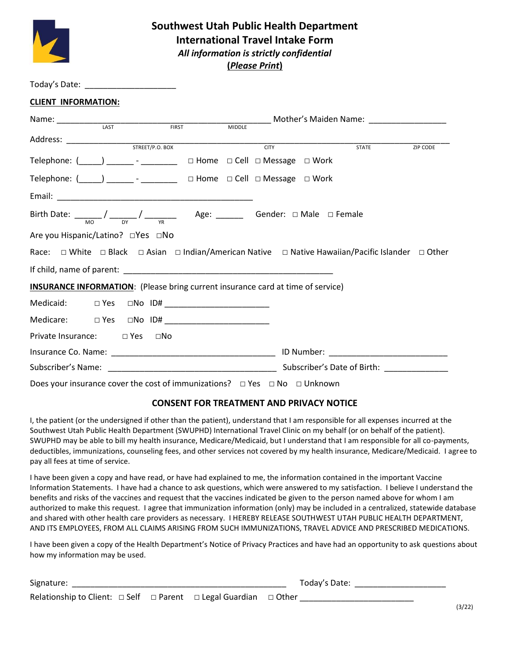

## **Southwest Utah Public Health Department International Travel Intake Form** *All information is strictly confidential* **(***Please Print***)**

| Today's Date:              |  |  |
|----------------------------|--|--|
| <b>CLIENT INFORMATION:</b> |  |  |

|                                                                                          |  |               |  | _______ Mother's Maiden Name: ____________________                                                |                 |
|------------------------------------------------------------------------------------------|--|---------------|--|---------------------------------------------------------------------------------------------------|-----------------|
|                                                                                          |  | <b>MIDDLE</b> |  |                                                                                                   |                 |
|                                                                                          |  |               |  |                                                                                                   | <b>ZIP CODE</b> |
|                                                                                          |  |               |  |                                                                                                   |                 |
| Telephone: (_____) ________ - _________ □ Home □ Cell □ Message □ Work                   |  |               |  |                                                                                                   |                 |
| Telephone: (_____) ________- _ ________ □ Home □ Cell □ Message □ Work                   |  |               |  |                                                                                                   |                 |
|                                                                                          |  |               |  |                                                                                                   |                 |
|                                                                                          |  |               |  |                                                                                                   |                 |
| Are you Hispanic/Latino? □Yes □No                                                        |  |               |  |                                                                                                   |                 |
|                                                                                          |  |               |  | Race: □ White □ Black □ Asian □ Indian/American Native □ Native Hawaiian/Pacific Islander □ Other |                 |
|                                                                                          |  |               |  |                                                                                                   |                 |
| <b>INSURANCE INFORMATION:</b> (Please bring current insurance card at time of service)   |  |               |  |                                                                                                   |                 |
|                                                                                          |  |               |  |                                                                                                   |                 |
|                                                                                          |  |               |  |                                                                                                   |                 |
| Private Insurance: □ Yes □ No                                                            |  |               |  |                                                                                                   |                 |
|                                                                                          |  |               |  |                                                                                                   |                 |
|                                                                                          |  |               |  |                                                                                                   |                 |
| Does your insurance cover the cost of immunizations? $\Box$ Yes $\Box$ No $\Box$ Unknown |  |               |  |                                                                                                   |                 |

### **CONSENT FOR TREATMENT AND PRIVACY NOTICE**

I, the patient (or the undersigned if other than the patient), understand that I am responsible for all expenses incurred at the Southwest Utah Public Health Department (SWUPHD) International Travel Clinic on my behalf (or on behalf of the patient). SWUPHD may be able to bill my health insurance, Medicare/Medicaid, but I understand that I am responsible for all co-payments, deductibles, immunizations, counseling fees, and other services not covered by my health insurance, Medicare/Medicaid. I agree to pay all fees at time of service.

I have been given a copy and have read, or have had explained to me, the information contained in the important Vaccine Information Statements. I have had a chance to ask questions, which were answered to my satisfaction. I believe I understand the benefits and risks of the vaccines and request that the vaccines indicated be given to the person named above for whom I am authorized to make this request. I agree that immunization information (only) may be included in a centralized, statewide database and shared with other health care providers as necessary. I HEREBY RELEASE SOUTHWEST UTAH PUBLIC HEALTH DEPARTMENT, AND ITS EMPLOYEES, FROM ALL CLAIMS ARISING FROM SUCH IMMUNIZATIONS, TRAVEL ADVICE AND PRESCRIBED MEDICATIONS.

I have been given a copy of the Health Department's Notice of Privacy Practices and have had an opportunity to ask questions about how my information may be used.

| Signature:                                                                           |  | Today's Date: |        |
|--------------------------------------------------------------------------------------|--|---------------|--------|
| Relationship to Client: $\Box$ Self $\Box$ Parent $\Box$ Legal Guardian $\Box$ Other |  |               | (3/22) |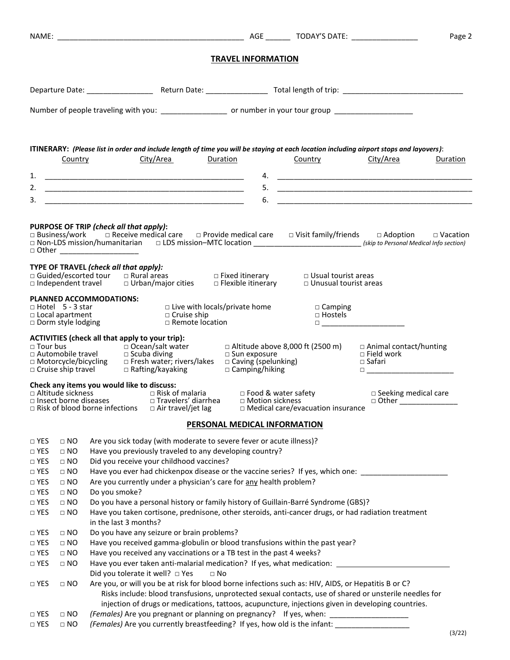|                                       |                        |                                                                                                                                                                                                                                                      |                                         |           |                                         |                                          |                                  |                                                                                                                                                                                                                                 | Page 2   |
|---------------------------------------|------------------------|------------------------------------------------------------------------------------------------------------------------------------------------------------------------------------------------------------------------------------------------------|-----------------------------------------|-----------|-----------------------------------------|------------------------------------------|----------------------------------|---------------------------------------------------------------------------------------------------------------------------------------------------------------------------------------------------------------------------------|----------|
|                                       |                        |                                                                                                                                                                                                                                                      |                                         |           | <b>TRAVEL INFORMATION</b>               |                                          |                                  |                                                                                                                                                                                                                                 |          |
|                                       |                        |                                                                                                                                                                                                                                                      |                                         |           |                                         |                                          |                                  |                                                                                                                                                                                                                                 |          |
|                                       |                        | Number of people traveling with you: _______________________ or number in your tour group ___________________                                                                                                                                        |                                         |           |                                         |                                          |                                  |                                                                                                                                                                                                                                 |          |
|                                       |                        | ITINERARY: (Please list in order and include length of time you will be staying at each location including airport stops and layovers):                                                                                                              |                                         |           |                                         |                                          |                                  |                                                                                                                                                                                                                                 |          |
|                                       | Country                | City/Area                                                                                                                                                                                                                                            |                                         | Duration  |                                         | <b>Country</b>                           |                                  | City/Area                                                                                                                                                                                                                       | Duration |
| 1.                                    |                        |                                                                                                                                                                                                                                                      |                                         |           |                                         |                                          |                                  |                                                                                                                                                                                                                                 |          |
|                                       |                        |                                                                                                                                                                                                                                                      |                                         |           |                                         |                                          |                                  |                                                                                                                                                                                                                                 |          |
| 3.                                    |                        |                                                                                                                                                                                                                                                      |                                         |           | 6.                                      |                                          |                                  |                                                                                                                                                                                                                                 |          |
|                                       |                        | PURPOSE OF TRIP (check all that apply):                                                                                                                                                                                                              |                                         |           |                                         |                                          |                                  |                                                                                                                                                                                                                                 |          |
|                                       |                        | □ Business/work   □ Receive medical care   □ Provide medical care   □ Visit family/friends   □ Adoption   □ Vacation<br>□ Non-LDS mission/humanitarian □ LDS mission-MTC location ___________________________(skip to Personal Medical Info section) |                                         |           |                                         |                                          |                                  |                                                                                                                                                                                                                                 |          |
|                                       |                        | □ Other ______________________                                                                                                                                                                                                                       |                                         |           |                                         |                                          |                                  |                                                                                                                                                                                                                                 |          |
|                                       |                        | TYPE OF TRAVEL (check all that apply):                                                                                                                                                                                                               |                                         |           |                                         |                                          |                                  |                                                                                                                                                                                                                                 |          |
|                                       |                        | <b>PLANNED ACCOMMODATIONS:</b>                                                                                                                                                                                                                       |                                         |           |                                         |                                          |                                  |                                                                                                                                                                                                                                 |          |
|                                       |                        | □ Hotel 5 - 3 star<br>□ Local apartment<br>□ Dorm style lodging                                                                                                                                                                                      | $\Box$ Cruise ship<br>□ Remote location |           | □ Live with locals/private home         |                                          | $\Box$ Camping<br>$\Box$ Hostels | $\Box$ and the set of the set of the set of the set of the set of the set of the set of the set of the set of the set of the set of the set of the set of the set of the set of the set of the set of the set of the set of the |          |
|                                       |                        | ACTIVITIES (check all that apply to your trip):                                                                                                                                                                                                      |                                         |           | $\Box$ Altitude above 8,000 ft (2500 m) |                                          |                                  | □ Animal contact/hunting<br>$\Box$ Field work<br>□ Safari<br>$\Box$                                                                                                                                                             |          |
|                                       |                        | Check any items you would like to discuss:<br>$\Box$ Risk of blood borne infections                                                                                                                                                                  | $\Box$ Air travel/jet lag               |           |                                         | $\Box$ Medical care/evacuation insurance |                                  | $\Box$ Seeking medical care<br>$\Box$ Other                                                                                                                                                                                     |          |
|                                       |                        |                                                                                                                                                                                                                                                      |                                         |           | PERSONAL MEDICAL INFORMATION            |                                          |                                  |                                                                                                                                                                                                                                 |          |
|                                       |                        |                                                                                                                                                                                                                                                      |                                         |           |                                         |                                          |                                  |                                                                                                                                                                                                                                 |          |
| $\Box$ YES<br>$\square$ YES           | $\Box$ NO<br>$\Box$ NO | Are you sick today (with moderate to severe fever or acute illness)?<br>Have you previously traveled to any developing country?                                                                                                                      |                                         |           |                                         |                                          |                                  |                                                                                                                                                                                                                                 |          |
| $\square$ YES                         | $\Box$ NO              | Did you receive your childhood vaccines?                                                                                                                                                                                                             |                                         |           |                                         |                                          |                                  |                                                                                                                                                                                                                                 |          |
| $\hfill \Box$<br>YES                  | $\Box$ NO              |                                                                                                                                                                                                                                                      |                                         |           |                                         |                                          |                                  | Have you ever had chickenpox disease or the vaccine series? If yes, which one:                                                                                                                                                  |          |
| $\hfill \Box$<br>YES                  | $\Box$ NO              | Are you currently under a physician's care for any health problem?                                                                                                                                                                                   |                                         |           |                                         |                                          |                                  |                                                                                                                                                                                                                                 |          |
| $\square$ YES                         | $\Box$ NO              | Do you smoke?                                                                                                                                                                                                                                        |                                         |           |                                         |                                          |                                  |                                                                                                                                                                                                                                 |          |
| $\Box$ YES                            | $\Box$ NO              | Do you have a personal history or family history of Guillain-Barré Syndrome (GBS)?                                                                                                                                                                   |                                         |           |                                         |                                          |                                  |                                                                                                                                                                                                                                 |          |
| $\Box$ YES                            | $\Box$ NO              |                                                                                                                                                                                                                                                      |                                         |           |                                         |                                          |                                  | Have you taken cortisone, prednisone, other steroids, anti-cancer drugs, or had radiation treatment                                                                                                                             |          |
|                                       |                        | in the last 3 months?                                                                                                                                                                                                                                |                                         |           |                                         |                                          |                                  |                                                                                                                                                                                                                                 |          |
| $\square$ YES                         | $\Box$ NO              | Do you have any seizure or brain problems?                                                                                                                                                                                                           |                                         |           |                                         |                                          |                                  |                                                                                                                                                                                                                                 |          |
| $\square$ YES<br>$\hfill \Box$<br>YES | $\Box$ NO<br>$\Box$ NO | Have you received gamma-globulin or blood transfusions within the past year?<br>Have you received any vaccinations or a TB test in the past 4 weeks?                                                                                                 |                                         |           |                                         |                                          |                                  |                                                                                                                                                                                                                                 |          |
| $\Box$ YES                            | $\Box$ NO              |                                                                                                                                                                                                                                                      |                                         |           |                                         |                                          |                                  | Have you ever taken anti-malarial medication? If yes, what medication: ____________________________                                                                                                                             |          |
|                                       |                        | Did you tolerate it well? $\Box$ Yes                                                                                                                                                                                                                 |                                         | $\Box$ No |                                         |                                          |                                  |                                                                                                                                                                                                                                 |          |
| $\Box$ YES                            | $\Box$ NO              | Are you, or will you be at risk for blood borne infections such as: HIV, AIDS, or Hepatitis B or C?                                                                                                                                                  |                                         |           |                                         |                                          |                                  |                                                                                                                                                                                                                                 |          |
|                                       |                        |                                                                                                                                                                                                                                                      |                                         |           |                                         |                                          |                                  | Risks include: blood transfusions, unprotected sexual contacts, use of shared or unsterile needles for                                                                                                                          |          |
|                                       |                        |                                                                                                                                                                                                                                                      |                                         |           |                                         |                                          |                                  | injection of drugs or medications, tattoos, acupuncture, injections given in developing countries.                                                                                                                              |          |
| $\Box$ YES                            | $\Box$ NO              | (Females) Are you pregnant or planning on pregnancy? If yes, when: ___________________                                                                                                                                                               |                                         |           |                                         |                                          |                                  |                                                                                                                                                                                                                                 |          |
| $\Box$ YES                            | $\Box$ NO              | (Females) Are you currently breastfeeding? If yes, how old is the infant: __________________________                                                                                                                                                 |                                         |           |                                         |                                          |                                  |                                                                                                                                                                                                                                 |          |
|                                       |                        |                                                                                                                                                                                                                                                      |                                         |           |                                         |                                          |                                  |                                                                                                                                                                                                                                 | (3/22)   |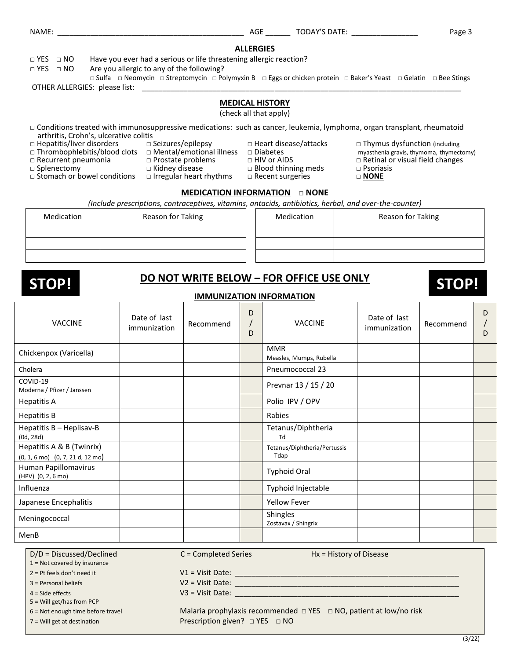#### **ALLERGIES**

□ YES □ NO Have you ever had a serious or life threatening allergic reaction?

□ YES □ NO Are you allergic to any of the following?

□ Sulfa □ Neomycin □ Streptomycin □ Polymyxin B □ Eggs or chicken protein □ Baker's Yeast □ Gelatin □ Bee Stings OTHER ALLERGIES: please list: \_

#### **MEDICAL HISTORY**

(check all that apply)

- □ Conditions treated with immunosuppressive medications: such as cancer, leukemia, lymphoma, organ transplant, rheumatoid arthritis, Crohn's, ulcerative colitis<br>
□ Hepatitis/liver disorders □ Seizures/epilepsy
- 
- □ Thrombophlebitis/blood clots □ Mental/emotional illness □ Diabetes myasthenia gravis, thymoma, thymectomy)
- 
- 
- □ Recurrent pneumonia □ Prostate problems □ HIV or AIDS □ Retinal or visual field changes
- 
- 
- □ Irregular heart rhythms
- -
	-
- □ Heart disease/attacks □ Thymus dysfunction (including □ Diabetes □ Thymus dysfunction (including
	- -
	-
	-

□ Splenectomy □ Kidney disease □ Blood thinning meds □ Psoriasis

**MEDICATION INFORMATION** □ **NONE** *(Include prescriptions, contraceptives, vitamins, antacids, antibiotics, herbal, and over-the-counter)*

| Medication | Reason for Taking | Medication | Reason for Taking |
|------------|-------------------|------------|-------------------|
|            |                   |            |                   |
|            |                   |            |                   |
|            |                   |            |                   |

# **DO NOT WRITE BELOW – FOR OFFICE USE ONLY STOP! STOP!**

**IMMUNIZATION INFORMATION**

| <b>VACCINE</b>                                                                            | Date of last<br>immunization | Recommend | D<br>D | <b>VACCINE</b>                        | Date of last<br>immunization | Recommend | D<br>D |
|-------------------------------------------------------------------------------------------|------------------------------|-----------|--------|---------------------------------------|------------------------------|-----------|--------|
| Chickenpox (Varicella)                                                                    |                              |           |        | <b>MMR</b><br>Measles, Mumps, Rubella |                              |           |        |
| Cholera                                                                                   |                              |           |        | Pneumococcal 23                       |                              |           |        |
| COVID-19<br>Moderna / Pfizer / Janssen                                                    |                              |           |        | Prevnar 13 / 15 / 20                  |                              |           |        |
| <b>Hepatitis A</b>                                                                        |                              |           |        | Polio IPV / OPV                       |                              |           |        |
| <b>Hepatitis B</b>                                                                        |                              |           |        | Rabies                                |                              |           |        |
| Hepatitis B - Heplisav-B<br>(0d, 28d)                                                     |                              |           |        | Tetanus/Diphtheria<br>Td              |                              |           |        |
| Hepatitis A & B (Twinrix)<br>$(0, 1, 6 \text{ mo})$ $(0, 7, 21 \text{ d}, 12 \text{ mo})$ |                              |           |        | Tetanus/Diphtheria/Pertussis<br>Tdap  |                              |           |        |
| Human Papillomavirus<br>(HPV) (0, 2, 6 mo)                                                |                              |           |        | <b>Typhoid Oral</b>                   |                              |           |        |
| Influenza                                                                                 |                              |           |        | Typhoid Injectable                    |                              |           |        |
| Japanese Encephalitis                                                                     |                              |           |        | <b>Yellow Fever</b>                   |                              |           |        |
| Meningococcal                                                                             |                              |           |        | Shingles<br>Zostavax / Shingrix       |                              |           |        |
| MenB                                                                                      |                              |           |        |                                       |                              |           |        |

D/D = Discussed/Declined C = Completed Series Hx = History of Disease

1 = Not covered by insurance

 $2 =$  Pt feels don't need it  $V1 =$  Visit Date:

 $3 =$  Personal beliefs  $V2 =$  Visit Date:  $\Box$ 

 $4 = \text{Side effects}$   $\text{V3} = \text{Visit Date:}$ 

5 = Will get/has from PCP

6 = Not enough time before travel Malaria prophylaxis recommended □ YES □ NO, patient at low/no risk 7 = Will get at destination **Prescription given?** □ YES □ NO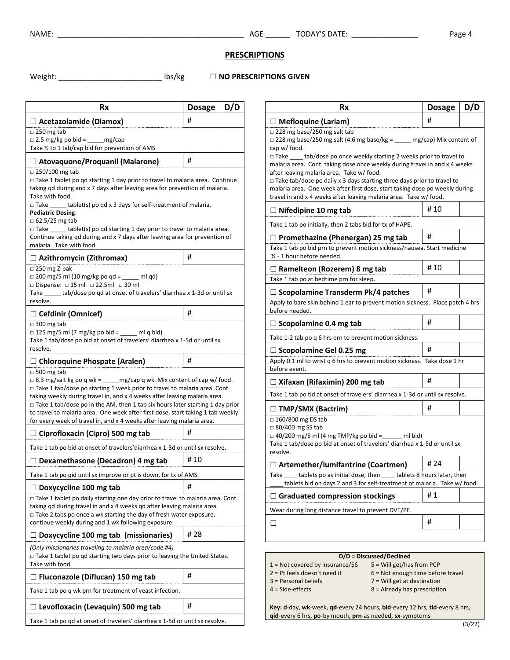NAME: \_\_\_\_\_\_\_\_\_\_\_\_\_\_\_\_\_\_\_\_\_\_\_\_\_\_\_\_\_\_\_\_\_\_\_\_\_\_\_\_\_\_\_\_\_ AGE \_\_\_\_\_\_ TODAY'S DATE: \_\_\_\_\_\_\_\_\_\_\_\_\_\_\_\_ Page 4

### **PRESCRIPTIONS**

Weight: \_\_\_\_\_\_\_\_\_\_\_\_\_\_\_\_\_\_\_\_\_\_\_\_\_ lbs/kg **□ NO PRESCRIPTIONS GIVEN**

| Rx                                                                                                                                                                                                                                                                                                                                                                                                                                                                                                                                          | <b>Dosage</b> | D/D |
|---------------------------------------------------------------------------------------------------------------------------------------------------------------------------------------------------------------------------------------------------------------------------------------------------------------------------------------------------------------------------------------------------------------------------------------------------------------------------------------------------------------------------------------------|---------------|-----|
| $\Box$ Acetazolamide (Diamox)                                                                                                                                                                                                                                                                                                                                                                                                                                                                                                               | #             |     |
| $\Box$ 250 mg tab<br>$\Box$ 2.5 mg/kg po bid = ______ mg/cap<br>Take $\frac{1}{2}$ to 1 tab/cap bid for prevention of AMS                                                                                                                                                                                                                                                                                                                                                                                                                   |               |     |
| $\Box$ Atovaquone/Proquanil (Malarone)                                                                                                                                                                                                                                                                                                                                                                                                                                                                                                      | #             |     |
| $\Box$ 250/100 mg tab<br>$\Box$ Take 1 tablet po qd starting 1 day prior to travel to malaria area. Continue<br>taking gd during and x 7 days after leaving area for prevention of malaria.<br>Take with food.<br>$\Box$ Take tablet(s) po gd x 3 days for self-treatment of malaria.<br><b>Pediatric Dosing:</b><br>$\Box$ 62.5/25 mg tab<br>$\Box$ Take ______ tablet(s) po qd starting 1 day prior to travel to malaria area.<br>Continue taking qd during and x 7 days after leaving area for prevention of<br>malaria. Take with food. |               |     |
| □ Azithromycin (Zithromax)                                                                                                                                                                                                                                                                                                                                                                                                                                                                                                                  | #             |     |
| $\Box$ 250 mg Z-pak<br>$\Box$ 200 mg/5 ml (10 mg/kg po qd = ____ ml qd)<br>$\Box$ Dispense: $\Box$ 15 ml $\Box$ 22.5ml $\Box$ 30 ml<br>Take _______ tab/dose po qd at onset of travelers' diarrhea x 1-3d or until sx<br>resolve.                                                                                                                                                                                                                                                                                                           |               |     |
| $\Box$ Cefdinir (Omnicef)                                                                                                                                                                                                                                                                                                                                                                                                                                                                                                                   | #             |     |
| $\Box$ 300 mg tab<br>$\Box$ 125 mg/5 ml (7 mg/kg po bid = _____ ml q bid)<br>Take 1 tab/dose po bid at onset of travelers' diarrhea x 1-5d or until sx<br>resolve.                                                                                                                                                                                                                                                                                                                                                                          |               |     |
| $\Box$ Chloroquine Phospate (Aralen)                                                                                                                                                                                                                                                                                                                                                                                                                                                                                                        | #             |     |
| $\Box$ 500 mg tab<br>$\Box$ 8.3 mg/salt kg po q wk = ______ mg/cap q wk. Mix content of cap w/ food.<br>$\Box$ Take 1 tab/dose po starting 1 week prior to travel to malaria area. Cont.<br>taking weekly during travel in, and x 4 weeks after leaving malaria area.<br>$\Box$ Take 1 tab/dose po in the AM, then 1 tab six hours later starting 1 day prior<br>to travel to malaria area. One week after first dose, start taking 1 tab weekly<br>for every week of travel in, and x 4 weeks after leaving malaria area.                  |               |     |
| $\Box$ Ciprofloxacin (Cipro) 500 mg tab                                                                                                                                                                                                                                                                                                                                                                                                                                                                                                     | #             |     |
| Take 1 tab po bid at onset of travelers' diarrhea x 1-3d or until sx resolve.                                                                                                                                                                                                                                                                                                                                                                                                                                                               |               |     |
| $\Box$ Dexamethasone (Decadron) 4 mg tab                                                                                                                                                                                                                                                                                                                                                                                                                                                                                                    | # 10          |     |
| Take 1 tab po qid until sx improve or pt is down, for tx of AMS.                                                                                                                                                                                                                                                                                                                                                                                                                                                                            |               |     |
| $\Box$ Doxycycline 100 mg tab                                                                                                                                                                                                                                                                                                                                                                                                                                                                                                               | #             |     |
| $\Box$ Take 1 tablet po daily starting one day prior to travel to malaria area. Cont.<br>taking gd during travel in and x 4 weeks gd after leaving malaria area.<br>$\Box$ Take 2 tabs po once a wk starting the day of fresh water exposure,                                                                                                                                                                                                                                                                                               |               |     |
| continue weekly during and 1 wk following exposure.                                                                                                                                                                                                                                                                                                                                                                                                                                                                                         |               |     |
| $\Box$ Doxycycline 100 mg tab (missionaries)                                                                                                                                                                                                                                                                                                                                                                                                                                                                                                | # 28          |     |
| (Only missionaries traveling to malaria area/code #4)<br>$\Box$ Take 1 tablet po qd starting two days prior to leaving the United States.<br>Take with food.                                                                                                                                                                                                                                                                                                                                                                                |               |     |
|                                                                                                                                                                                                                                                                                                                                                                                                                                                                                                                                             | #             |     |
|                                                                                                                                                                                                                                                                                                                                                                                                                                                                                                                                             |               |     |
| $\Box$ Fluconazole (Diflucan) 150 mg tab<br>Take 1 tab po q wk prn for treatment of yeast infection.<br>$\Box$ Levofloxacin (Levaquin) 500 mg tab                                                                                                                                                                                                                                                                                                                                                                                           | #             |     |

| Rx                                                                                                                                                                                                                                                                                                                                                                                                                                                                                                                                                                               | Dosage | D/D |
|----------------------------------------------------------------------------------------------------------------------------------------------------------------------------------------------------------------------------------------------------------------------------------------------------------------------------------------------------------------------------------------------------------------------------------------------------------------------------------------------------------------------------------------------------------------------------------|--------|-----|
| $\Box$ Mefloquine (Lariam)                                                                                                                                                                                                                                                                                                                                                                                                                                                                                                                                                       | #      |     |
| $\Box$ 228 mg base/250 mg salt tab<br>$\Box$ 228 mg base/250 mg salt (4.6 mg base/kg = _____ mg/cap) Mix content of<br>cap w/ food.<br>$\Box$ Take ______ tab/dose po once weekly starting 2 weeks prior to travel to<br>malaria area. Cont. taking dose once weekly during travel in and x 4 weeks<br>after leaving malaria area. Take w/ food.<br>□ Take tab/dose po daily x 3 days starting three days prior to travel to<br>malaria area. One week after first dose, start taking dose po weekly during<br>travel in and x 4 weeks after leaving malaria area. Take w/ food. |        |     |
| $\Box$ Nifedipine 10 mg tab                                                                                                                                                                                                                                                                                                                                                                                                                                                                                                                                                      | # 10   |     |
| Take 1 tab po initially, then 2 tabs bid for tx of HAPE.                                                                                                                                                                                                                                                                                                                                                                                                                                                                                                                         |        |     |
| $\Box$ Promethazine (Phenergan) 25 mg tab                                                                                                                                                                                                                                                                                                                                                                                                                                                                                                                                        | #      |     |
| Take 1 tab po bid prn to prevent motion sickness/nausea. Start medicine<br>1/2 - 1 hour before needed.                                                                                                                                                                                                                                                                                                                                                                                                                                                                           |        |     |
| $\Box$ Ramelteon (Rozerem) 8 mg tab                                                                                                                                                                                                                                                                                                                                                                                                                                                                                                                                              | # 10   |     |
| Take 1 tab po at bedtime prn for sleep.                                                                                                                                                                                                                                                                                                                                                                                                                                                                                                                                          |        |     |
| $\Box$ Scopolamine Transderm Pk/4 patches<br>Apply to bare skin behind 1 ear to prevent motion sickness. Place patch 4 hrs<br>before needed.                                                                                                                                                                                                                                                                                                                                                                                                                                     | #      |     |
| $\Box$ Scopolamine 0.4 mg tab                                                                                                                                                                                                                                                                                                                                                                                                                                                                                                                                                    | #      |     |
| Take 1-2 tab po q 6 hrs prn to prevent motion sickness.                                                                                                                                                                                                                                                                                                                                                                                                                                                                                                                          |        |     |
| $\Box$ Scopolamine Gel 0.25 mg                                                                                                                                                                                                                                                                                                                                                                                                                                                                                                                                                   | #      |     |
| Apply 0.1 ml to wrist q 6 hrs to prevent motion sickness. Take dose 1 hr<br>before event.                                                                                                                                                                                                                                                                                                                                                                                                                                                                                        |        |     |
| $\Box$ Xifaxan (Rifaximin) 200 mg tab                                                                                                                                                                                                                                                                                                                                                                                                                                                                                                                                            | #      |     |
| Take 1 tab po tid at onset of travelers' diarrhea x 1-3d or until sx resolve.                                                                                                                                                                                                                                                                                                                                                                                                                                                                                                    |        |     |
| $\Box$ TMP/SMX (Bactrim)                                                                                                                                                                                                                                                                                                                                                                                                                                                                                                                                                         | #      |     |
| $\Box$ 160/800 mg DS tab<br>$\Box$ 80/400 mg SS tab<br>$\Box$ 40/200 mg/5 ml (4 mg TMP/kg po bid = _____ ml bid)<br>Take 1 tab/dose po bid at onset of travelers' diarrhea x 1-5d or until sx<br>resolve.                                                                                                                                                                                                                                                                                                                                                                        |        |     |
| □ Artemether/lumifantrine (Coartmen)                                                                                                                                                                                                                                                                                                                                                                                                                                                                                                                                             | # 24   |     |
| таке<br>___ tablets po as initial dose, then _____ tablets 8 hours later, then<br>tablets bid on days 2 and 3 for self-treatment of malaria. Take w/ food.                                                                                                                                                                                                                                                                                                                                                                                                                       |        |     |
| $\Box$ Graduated compression stockings                                                                                                                                                                                                                                                                                                                                                                                                                                                                                                                                           | #1     |     |
| Wear during long distance travel to prevent DVT/PE.                                                                                                                                                                                                                                                                                                                                                                                                                                                                                                                              |        |     |
| П                                                                                                                                                                                                                                                                                                                                                                                                                                                                                                                                                                                | #      |     |
|                                                                                                                                                                                                                                                                                                                                                                                                                                                                                                                                                                                  |        |     |

#### **D/D = Discussed/Declined**

- 1 = Not covered by insurance/\$\$ 5 = Will get/has from PCP<br>2 = Pt feels doesn't need it 6 = Not enough time befor
	- $6$  = Not enough time before travel
	-
- 
- 3 = Personal beliefs 7 = Will get at destination
- 4 = Side-effects 8 = Already has prescription

**Key: d**-day, **wk**-week, **qd**-every 24 hours, **bid**-every 12 hrs, **tid**-every 8 hrs, **qid**-every 6 hrs, **po**-by mouth, **prn**-as needed, **sx**-symptoms